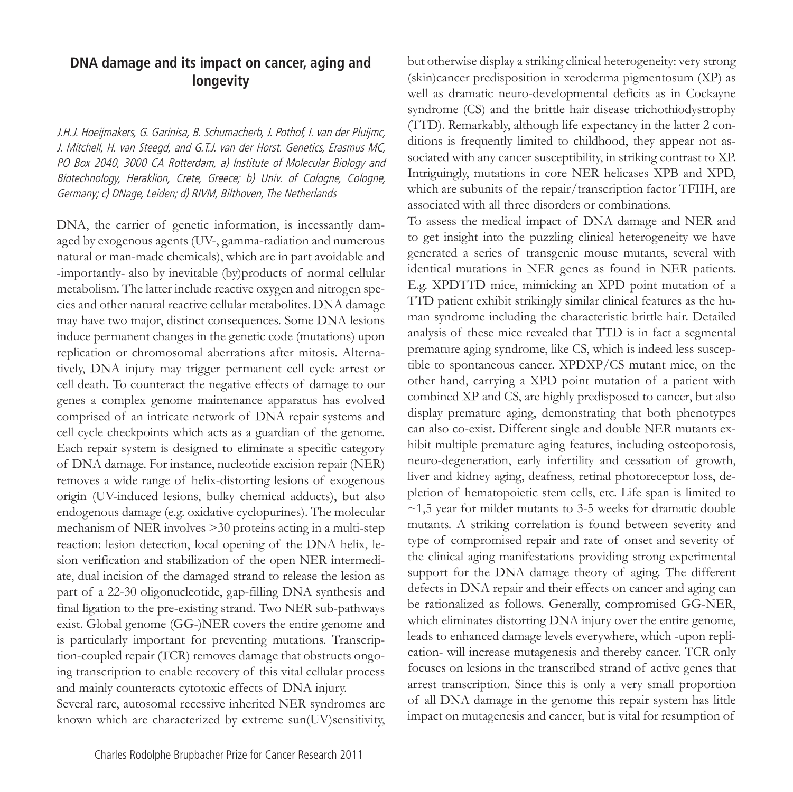## **DNA damage and its impact on cancer, aging and longevity**

J.H.J. Hoeijmakers, G. Garinisa, B. Schumacherb, J. Pothof, I. van der Pluijmc, J. Mitchell, H. van Steegd, and G.T.J. van der Horst. Genetics, Erasmus MC, PO Box 2040, 3000 CA Rotterdam, a) Institute of Molecular Biology and Biotechnology, Heraklion, Crete, Greece; b) Univ. of Cologne, Cologne, Germany; c) DNage, Leiden; d) RIVM, Bilthoven, The Netherlands

DNA, the carrier of genetic information, is incessantly damaged by exogenous agents (UV-, gamma-radiation and numerous natural or man-made chemicals), which are in part avoidable and -importantly- also by inevitable (by)products of normal cellular metabolism. The latter include reactive oxygen and nitrogen species and other natural reactive cellular metabolites. DNA damage may have two major, distinct consequences. Some DNA lesions induce permanent changes in the genetic code (mutations) upon replication or chromosomal aberrations after mitosis. Alternatively, DNA injury may trigger permanent cell cycle arrest or cell death. To counteract the negative effects of damage to our genes a complex genome maintenance apparatus has evolved comprised of an intricate network of DNA repair systems and cell cycle checkpoints which acts as a guardian of the genome. Each repair system is designed to eliminate a specific category of DNA damage. For instance, nucleotide excision repair (NER) removes a wide range of helix-distorting lesions of exogenous origin (UV-induced lesions, bulky chemical adducts), but also endogenous damage (e.g. oxidative cyclopurines). The molecular mechanism of NER involves >30 proteins acting in a multi-step reaction: lesion detection, local opening of the DNA helix, lesion verification and stabilization of the open NER intermediate, dual incision of the damaged strand to release the lesion as part of a 22-30 oligonucleotide, gap-filling DNA synthesis and final ligation to the pre-existing strand. Two NER sub-pathways exist. Global genome (GG-)NER covers the entire genome and is particularly important for preventing mutations. Transcription-coupled repair (TCR) removes damage that obstructs ongoing transcription to enable recovery of this vital cellular process and mainly counteracts cytotoxic effects of DNA injury. Several rare, autosomal recessive inherited NER syndromes are known which are characterized by extreme sun(UV)sensitivity,

but otherwise display a striking clinical heterogeneity: very strong (skin)cancer predisposition in xeroderma pigmentosum (XP) as well as dramatic neuro-developmental deficits as in Cockayne syndrome (CS) and the brittle hair disease trichothiodystrophy (TTD). Remarkably, although life expectancy in the latter 2 conditions is frequently limited to childhood, they appear not associated with any cancer susceptibility, in striking contrast to XP. Intriguingly, mutations in core NER helicases XPB and XPD, which are subunits of the repair/transcription factor TFIIH, are associated with all three disorders or combinations.

To assess the medical impact of DNA damage and NER and to get insight into the puzzling clinical heterogeneity we have generated a series of transgenic mouse mutants, several with identical mutations in NER genes as found in NER patients. E.g. XPDTTD mice, mimicking an XPD point mutation of a TTD patient exhibit strikingly similar clinical features as the human syndrome including the characteristic brittle hair. Detailed analysis of these mice revealed that TTD is in fact a segmental premature aging syndrome, like CS, which is indeed less susceptible to spontaneous cancer. XPDXP/CS mutant mice, on the other hand, carrying a XPD point mutation of a patient with combined XP and CS, are highly predisposed to cancer, but also display premature aging, demonstrating that both phenotypes can also co-exist. Different single and double NER mutants exhibit multiple premature aging features, including osteoporosis, neuro-degeneration, early infertility and cessation of growth, liver and kidney aging, deafness, retinal photoreceptor loss, depletion of hematopoietic stem cells, etc. Life span is limited to  $\sim$ 1,5 year for milder mutants to 3-5 weeks for dramatic double mutants. A striking correlation is found between severity and type of compromised repair and rate of onset and severity of the clinical aging manifestations providing strong experimental support for the DNA damage theory of aging. The different defects in DNA repair and their effects on cancer and aging can be rationalized as follows. Generally, compromised GG-NER, which eliminates distorting DNA injury over the entire genome, leads to enhanced damage levels everywhere, which -upon replication- will increase mutagenesis and thereby cancer. TCR only focuses on lesions in the transcribed strand of active genes that arrest transcription. Since this is only a very small proportion of all DNA damage in the genome this repair system has little impact on mutagenesis and cancer, but is vital for resumption of